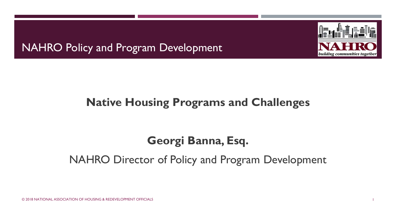NAHRO Policy and Program Development



#### **Native Housing Programs and Challenges**

#### **Georgi Banna, Esq.**

#### NAHRO Director of Policy and Program Development

© 2018 NATIONAL ASSOCIATION OF HOUSING & REDEVELOPMENT OFFICIALS 1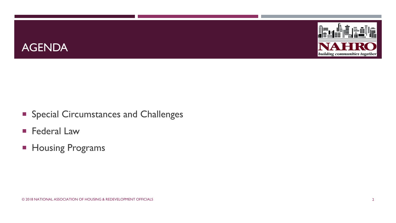



- **Special Circumstances and Challenges**
- **Federal Law**
- **Housing Programs**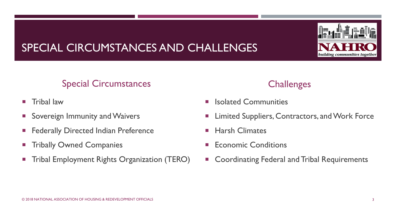

# SPECIAL CIRCUMSTANCES AND CHALLENGES

#### Special Circumstances

- **Tribal law**
- **Sovereign Immunity and Waivers**
- **Federally Directed Indian Preference**
- **Tribally Owned Companies**
- **Tribal Employment Rights Organization (TERO)**

#### **Challenges**

- Isolated Communities
- Limited Suppliers, Contractors, and Work Force
- Harsh Climates
- Economic Conditions
- **EX Coordinating Federal and Tribal Requirements**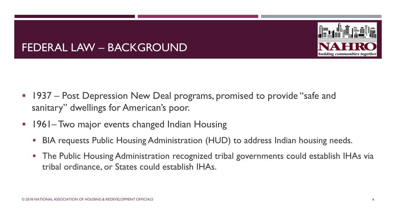

#### FEDERAL LAW – BACKGROUND

- **1937 Post Depression New Deal programs, promised to provide "safe and** sanitary" dwellings for American's poor.
- **1961–Two major events changed Indian Housing** 
	- **BIA requests Public Housing Administration (HUD) to address Indian housing needs.**
	- The Public Housing Administration recognized tribal governments could establish IHAs via tribal ordinance, or States could establish IHAs.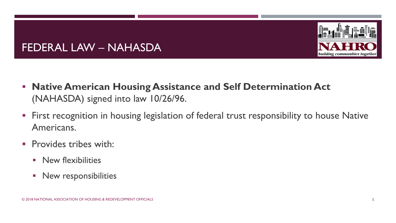

#### FEDERAL LAW – NAHASDA

- **Native American Housing Assistance and Self Determination Act**  (NAHASDA) signed into law 10/26/96.
- **First recognition in housing legislation of federal trust responsibility to house Native** Americans.
- **Provides tribes with:** 
	- **New flexibilities**
	- **New responsibilities**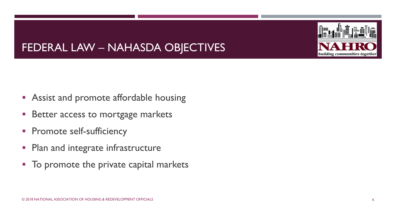# FEDERAL LAW – NAHASDA OBJECTIVES

- **Assist and promote affordable housing**
- **Better access to mortgage markets**
- **Promote self-sufficiency**
- Plan and integrate infrastructure
- $\blacksquare$  To promote the private capital markets



building communities together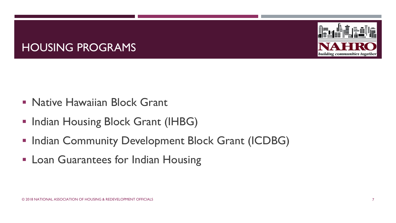

#### HOUSING PROGRAMS

- **Native Hawaiian Block Grant**
- **Indian Housing Block Grant (IHBG)**
- **Indian Community Development Block Grant (ICDBG)**
- **Exam Guarantees for Indian Housing**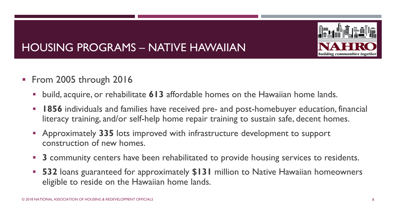

# HOUSING PROGRAMS – NATIVE HAWAIIAN

- **From 2005 through 2016** 
	- build, acquire, or rehabilitate **613** affordable homes on the Hawaiian home lands.
	- **1856** individuals and families have received pre- and post-homebuyer education, financial literacy training, and/or self-help home repair training to sustain safe, decent homes.
	- Approximately **335** lots improved with infrastructure development to support construction of new homes.
	- **3** community centers have been rehabilitated to provide housing services to residents.
	- **532** loans guaranteed for approximately **\$131** million to Native Hawaiian homeowners eligible to reside on the Hawaiian home lands.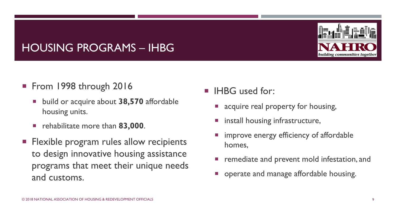# building communities together

# HOUSING PROGRAMS – IHBG

- From 1998 through 2016
	- build or acquire about **38,570** affordable housing units.
	- **rehabilitate more than 83,000.**
- **Flexible program rules allow recipients** to design innovative housing assistance programs that meet their unique needs and customs.
- **IHBG** used for:
	- **E** acquire real property for housing,
	- install housing infrastructure,
	- improve energy efficiency of affordable homes,
	- remediate and prevent mold infestation, and
	- **•** operate and manage affordable housing.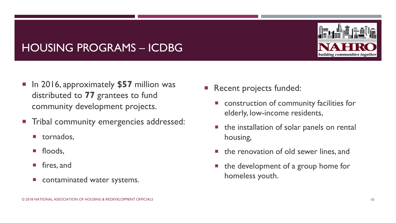#### HOUSING PROGRAMS – ICDBG

- In 2016, approximately \$57 million was distributed to **77** grantees to fund community development projects.
- **Tribal community emergencies addressed:** 
	- **u** tornados,
	- **floods,**
	- **F** fires, and
	- **E** contaminated water systems.
- Recent projects funded:
	- construction of community facilities for elderly, low-income residents,
	- $\blacksquare$  the installation of solar panels on rental housing,
	- $\blacksquare$  the renovation of old sewer lines, and
	- $\blacksquare$  the development of a group home for homeless youth.

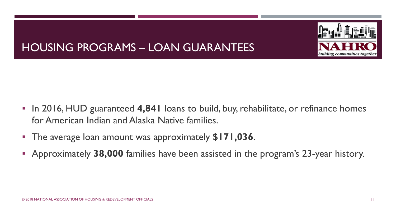

# HOUSING PROGRAMS – LOAN GUARANTEES

- In 2016, HUD guaranteed 4,841 loans to build, buy, rehabilitate, or refinance homes for American Indian and Alaska Native families.
- The average loan amount was approximately **\$171,036**.
- Approximately **38,000** families have been assisted in the program's 23-year history.